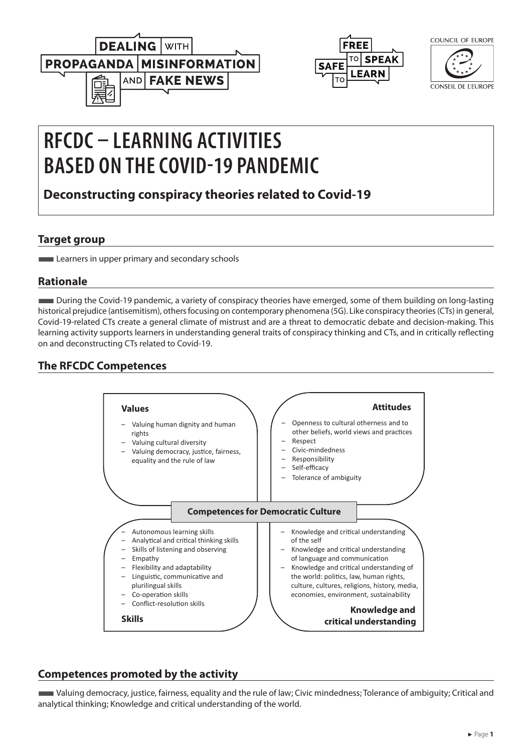



| .<br>UE FUKUPE |
|----------------|
|                |

CONSEIL DE L'EUROPE

# **RFCDC – LEARNING ACTIVITIES BASED ON THE COVID-19 PANDEMIC**

**Deconstructing conspiracy theories related to Covid-19**

## **Target group**

**Learners in upper primary and secondary schools** 

## **Rationale**

■During the Covid-19 pandemic, a variety of conspiracy theories have emerged, some of them building on long-lasting historical prejudice (antisemitism), others focusing on contemporary phenomena (5G). Like conspiracy theories (CTs) in general, Covid-19-related CTs create a general climate of mistrust and are a threat to democratic debate and decision-making. This learning activity supports learners in understanding general traits of conspiracy thinking and CTs, and in critically reflecting on and deconstructing CTs related to Covid-19.

# **The RFCDC Competences**



## **Competences promoted by the activity**

■Valuing democracy, justice, fairness, equality and the rule of law; Civic mindedness; Tolerance of ambiguity; Critical and analytical thinking; Knowledge and critical understanding of the world.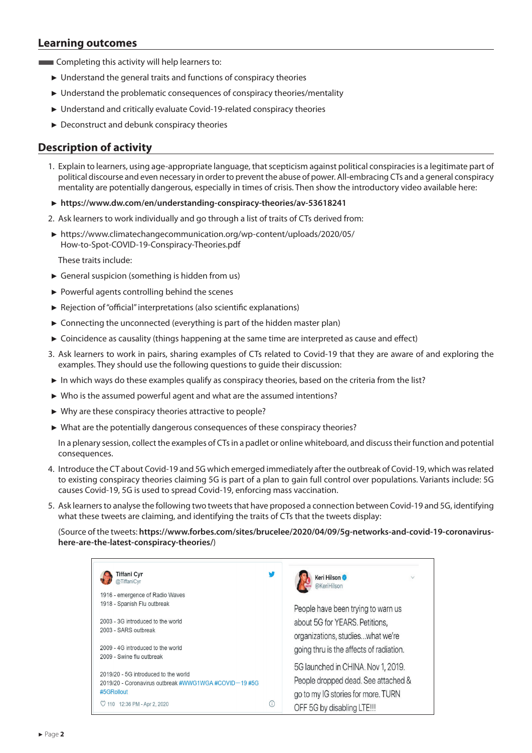## **Learning outcomes**

**EXECOMPLER** Completing this activity will help learners to:

- ► Understand the general traits and functions of conspiracy theories
- ► Understand the problematic consequences of conspiracy theories/mentality
- ► Understand and critically evaluate Covid-19-related conspiracy theories
- ► Deconstruct and debunk conspiracy theories

### **Description of activity**

- 1. Explain to learners, using age-appropriate language, that scepticism against political conspiracies is a legitimate part of political discourse and even necessary in order to prevent the abuse of power. All-embracing CTs and a general conspiracy mentality are potentially dangerous, especially in times of crisis. Then show the introductory video available here:
- ► **<https://www.dw.com/en/understanding-conspiracy-theories/av-53618241>**
- 2. Ask learners to work individually and go through a list of traits of CTs derived from:
- ► https://www.climatechangecommunication.org/wp-content/uploads/2020/05/ How-to-Spot-COVID-19-Conspiracy-Theories.pdf

These traits include:

- ► General suspicion (something is hidden from us)
- ► Powerful agents controlling behind the scenes
- ► Rejection of "official" interpretations (also scientific explanations)
- ► Connecting the unconnected (everything is part of the hidden master plan)
- ► Coincidence as causality (things happening at the same time are interpreted as cause and effect)
- 3. Ask learners to work in pairs, sharing examples of CTs related to Covid-19 that they are aware of and exploring the examples. They should use the following questions to guide their discussion:
- ► In which ways do these examples qualify as conspiracy theories, based on the criteria from the list?
- ► Who is the assumed powerful agent and what are the assumed intentions?
- $\blacktriangleright$  Why are these conspiracy theories attractive to people?
- $\blacktriangleright$  What are the potentially dangerous consequences of these conspiracy theories?

In a plenary session, collect the examples of CTs in a padlet or online whiteboard, and discuss their function and potential consequences.  $\blacksquare$ Inces.

- 4. Introduce the CT about Covid-19 and 5G which emerged immediately after the outbreak of Covid-19, which was related to existing conspiracy theories claiming 5G is part of a plan to gain full control over populations. Variants include: 5G causes Covid-19, 5G is used to spread Covid-19, enforcing mass vaccination.
- 5. Ask learners to analyse the following two tweets that have proposed a connection between Covid-19 and 5G, identifying what these tweets are claiming, and identifying the traits of  $CTs$  that the tweets display:

Source of the tweets: [https://www.forbes.com/sites/brucelee/2020/04/09/5g-networks-and-covid-19-coronavirus](https://www.forbes.com/sites/brucelee/2020/04/09/5g-networks-and-covid-19-coronavirus-here-are-the-latest-conspiracy-theories/#7eb020396d41)**[here-are-the-latest-conspiracy-theories/](https://www.forbes.com/sites/brucelee/2020/04/09/5g-networks-and-covid-19-coronavirus-here-are-the-latest-conspiracy-theories/#7eb020396d41)**) and tweets. https://www.ior.os.com/sites/oracerec/2020/04/03/39 networks and t<br>the-latest-consniracy-theories/)